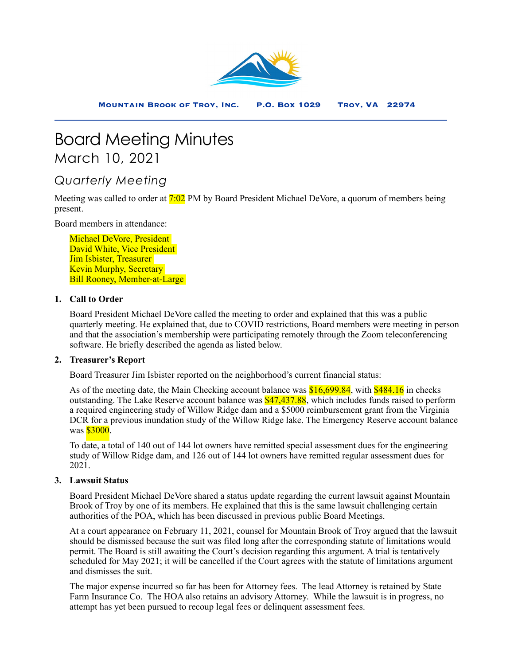

# Board Meeting Minutes March 10, 2021

## *Quarterly Meeting*

Meeting was called to order at 7:02 PM by Board President Michael DeVore, a quorum of members being present.

Board members in attendance:

Michael DeVore, President David White, Vice President Jim Isbister, Treasurer Kevin Murphy, Secretary Bill Rooney, Member-at-Large

#### **1. Call to Order**

Board President Michael DeVore called the meeting to order and explained that this was a public quarterly meeting. He explained that, due to COVID restrictions, Board members were meeting in person and that the association's membership were participating remotely through the Zoom teleconferencing software. He briefly described the agenda as listed below.

#### **2. Treasurer's Report**

Board Treasurer Jim Isbister reported on the neighborhood's current financial status:

As of the meeting date, the Main Checking account balance was \$16,699.84, with \$484.16 in checks outstanding. The Lake Reserve account balance was \$47,437.88, which includes funds raised to perform a required engineering study of Willow Ridge dam and a \$5000 reimbursement grant from the Virginia DCR for a previous inundation study of the Willow Ridge lake. The Emergency Reserve account balance was **\$3000**.

To date, a total of 140 out of 144 lot owners have remitted special assessment dues for the engineering study of Willow Ridge dam, and 126 out of 144 lot owners have remitted regular assessment dues for 2021.

### **3. Lawsuit Status**

Board President Michael DeVore shared a status update regarding the current lawsuit against Mountain Brook of Troy by one of its members. He explained that this is the same lawsuit challenging certain authorities of the POA, which has been discussed in previous public Board Meetings.

At a court appearance on February 11, 2021, counsel for Mountain Brook of Troy argued that the lawsuit should be dismissed because the suit was filed long after the corresponding statute of limitations would permit. The Board is still awaiting the Court's decision regarding this argument. A trial is tentatively scheduled for May 2021; it will be cancelled if the Court agrees with the statute of limitations argument and dismisses the suit.

The major expense incurred so far has been for Attorney fees. The lead Attorney is retained by State Farm Insurance Co. The HOA also retains an advisory Attorney. While the lawsuit is in progress, no attempt has yet been pursued to recoup legal fees or delinquent assessment fees.